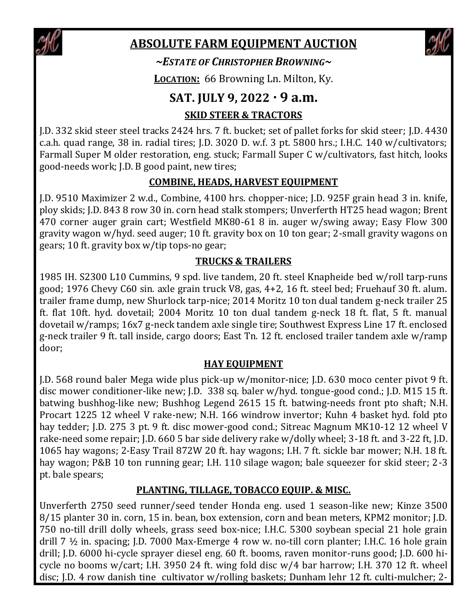

# **ABSOLUTE FARM EQUIPMENT AUCTION**



*~ESTATE OF CHRISTOPHER BROWNING~*

**LOCATION:** 66 Browning Ln. Milton, Ky.

## **SAT. JULY 9, 2022 · 9 a.m.**

### **SKID STEER & TRACTORS**

J.D. 332 skid steer steel tracks 2424 hrs. 7 ft. bucket; set of pallet forks for skid steer; J.D. 4430 c.a.h. quad range, 38 in. radial tires; J.D. 3020 D. w.f. 3 pt. 5800 hrs.; I.H.C. 140 w/cultivators; Farmall Super M older restoration, eng. stuck; Farmall Super C w/cultivators, fast hitch, looks good-needs work; J.D. B good paint, new tires;

### **COMBINE, HEADS, HARVEST EQUIPMENT**

J.D. 9510 Maximizer 2 w.d., Combine, 4100 hrs. chopper-nice; J.D. 925F grain head 3 in. knife, ploy skids; J.D. 843 8 row 30 in. corn head stalk stompers; Unverferth HT25 head wagon; Brent 470 corner auger grain cart; Westfield MK80-61 8 in. auger w/swing away; Easy Flow 300 gravity wagon w/hyd. seed auger; 10 ft. gravity box on 10 ton gear; 2-small gravity wagons on gears; 10 ft. gravity box w/tip tops-no gear;

#### **TRUCKS & TRAILERS**

1985 IH. S2300 L10 Cummins, 9 spd. live tandem, 20 ft. steel Knapheide bed w/roll tarp-runs good; 1976 Chevy C60 sin. axle grain truck V8, gas, 4+2, 16 ft. steel bed; Fruehauf 30 ft. alum. trailer frame dump, new Shurlock tarp-nice; 2014 Moritz 10 ton dual tandem g-neck trailer 25 ft. flat 10ft. hyd. dovetail; 2004 Moritz 10 ton dual tandem g-neck 18 ft. flat, 5 ft. manual dovetail w/ramps; 16x7 g-neck tandem axle single tire; Southwest Express Line 17 ft. enclosed g-neck trailer 9 ft. tall inside, cargo doors; East Tn. 12 ft. enclosed trailer tandem axle w/ramp door;

#### **HAY EQUIPMENT**

J.D. 568 round baler Mega wide plus pick-up w/monitor-nice; J.D. 630 moco center pivot 9 ft. disc mower conditioner-like new; J.D. 338 sq. baler w/hyd. tongue-good cond.; J.D. M15 15 ft. batwing bushhog-like new; Bushhog Legend 2615 15 ft. batwing-needs front pto shaft; N.H. Procart 1225 12 wheel V rake-new; N.H. 166 windrow invertor; Kuhn 4 basket hyd. fold pto hay tedder; J.D. 275 3 pt. 9 ft. disc mower-good cond.; Sitreac Magnum MK10-12 12 wheel V rake-need some repair; J.D. 660 5 bar side delivery rake w/dolly wheel; 3-18 ft. and 3-22 ft, J.D. 1065 hay wagons; 2-Easy Trail 872W 20 ft. hay wagons; I.H. 7 ft. sickle bar mower; N.H. 18 ft. hay wagon; P&B 10 ton running gear; I.H. 110 silage wagon; bale squeezer for skid steer; 2-3 pt. bale spears;

#### **PLANTING, TILLAGE, TOBACCO EQUIP. & MISC.**

Unverferth 2750 seed runner/seed tender Honda eng. used 1 season-like new; Kinze 3500 8/15 planter 30 in. corn, 15 in. bean, box extension, corn and bean meters, KPM2 monitor; J.D. 750 no-till drill dolly wheels, grass seed box-nice; I.H.C. 5300 soybean special 21 hole grain drill 7 ½ in. spacing; J.D. 7000 Max-Emerge 4 row w. no-till corn planter; I.H.C. 16 hole grain drill; J.D. 6000 hi-cycle sprayer diesel eng. 60 ft. booms, raven monitor-runs good; J.D. 600 hicycle no booms w/cart; I.H. 3950 24 ft. wing fold disc w/4 bar harrow; I.H. 370 12 ft. wheel disc; J.D. 4 row danish tine cultivator w/rolling baskets; Dunham lehr 12 ft. culti-mulcher; 2